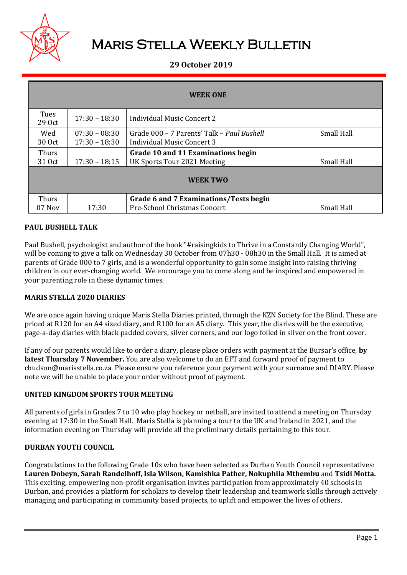

# Maris Stella Weekly Bulletin

# **29 October 2019**

| <b>WEEK ONE</b>        |                                    |                                                                                 |            |  |
|------------------------|------------------------------------|---------------------------------------------------------------------------------|------------|--|
| Tues<br>29 Oct         | $17:30 - 18:30$                    | Individual Music Concert 2                                                      |            |  |
| Wed<br>30 Oct          | $07:30 - 08:30$<br>$17:30 - 18:30$ | Grade 000 – 7 Parents' Talk – Paul Bushell<br><b>Individual Music Concert 3</b> | Small Hall |  |
| <b>Thurs</b><br>31 Oct | $17:30 - 18:15$                    | Grade 10 and 11 Examinations begin<br>UK Sports Tour 2021 Meeting               | Small Hall |  |
| <b>WEEK TWO</b>        |                                    |                                                                                 |            |  |
| <b>Thurs</b><br>07 Nov | 17:30                              | Grade 6 and 7 Examinations/Tests begin<br>Pre-School Christmas Concert          | Small Hall |  |

## **PAUL BUSHELL TALK**

Paul Bushell, psychologist and author of the book "#raisingkids to Thrive in a Constantly Changing World", will be coming to give a talk on Wednesday 30 October from 07h30 - 08h30 in the Small Hall. It is aimed at parents of Grade 000 to 7 girls, and is a wonderful opportunity to gain some insight into raising thriving children in our ever-changing world. We encourage you to come along and be inspired and empowered in your parenting role in these dynamic times.

## **MARIS STELLA 2020 DIARIES**

We are once again having unique Maris Stella Diaries printed, through the KZN Society for the Blind. These are priced at R120 for an A4 sized diary, and R100 for an A5 diary. This year, the diaries will be the executive, page-a-day diaries with black padded covers, silver corners, and our logo foiled in silver on the front cover.

If any of our parents would like to order a diary, please place orders with payment at the Bursar's office, **by latest Thursday 7 November.** You are also welcome to do an EFT and forward proof of payment to chudson@marisstella.co.za. Please ensure you reference your payment with your surname and DIARY. Please note we will be unable to place your order without proof of payment.

## **UNITED KINGDOM SPORTS TOUR MEETING**

All parents of girls in Grades 7 to 10 who play hockey or netball, are invited to attend a meeting on Thursday evening at 17:30 in the Small Hall. Maris Stella is planning a tour to the UK and Ireland in 2021, and the information evening on Thursday will provide all the preliminary details pertaining to this tour.

## **DURBAN YOUTH COUNCIL**

Congratulations to the following Grade 10s who have been selected as Durban Youth Council representatives: **Lauren Dobeyn, Sarah Randelhoff, Isla Wilson, Kamishka Pather, Nokuphila Mthembu** and **Tsidi Motta.** This exciting, empowering non-profit organisation invites participation from approximately 40 schools in Durban, and provides a platform for scholars to develop their leadership and teamwork skills through actively managing and participating in community based projects, to uplift and empower the lives of others.